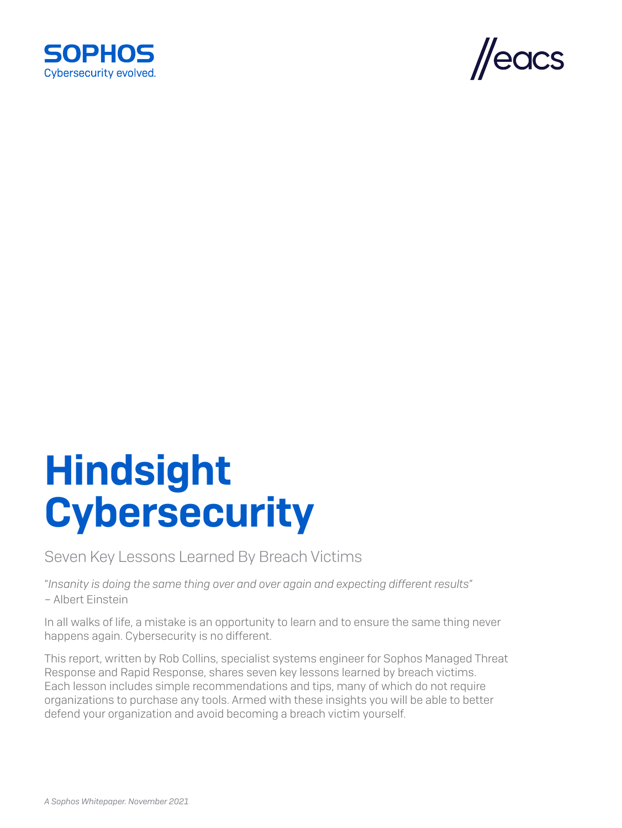



# Hindsight **Cybersecurity**

Seven Key Lessons Learned By Breach Victims

"*Insanity is doing the same thing over and over again and expecting different results*" – Albert Einstein

In all walks of life, a mistake is an opportunity to learn and to ensure the same thing never happens again. Cybersecurity is no different.

This report, written by Rob Collins, specialist systems engineer for Sophos Managed Threat Response and Rapid Response, shares seven key lessons learned by breach victims. Each lesson includes simple recommendations and tips, many of which do not require organizations to purchase any tools. Armed with these insights you will be able to better defend your organization and avoid becoming a breach victim yourself.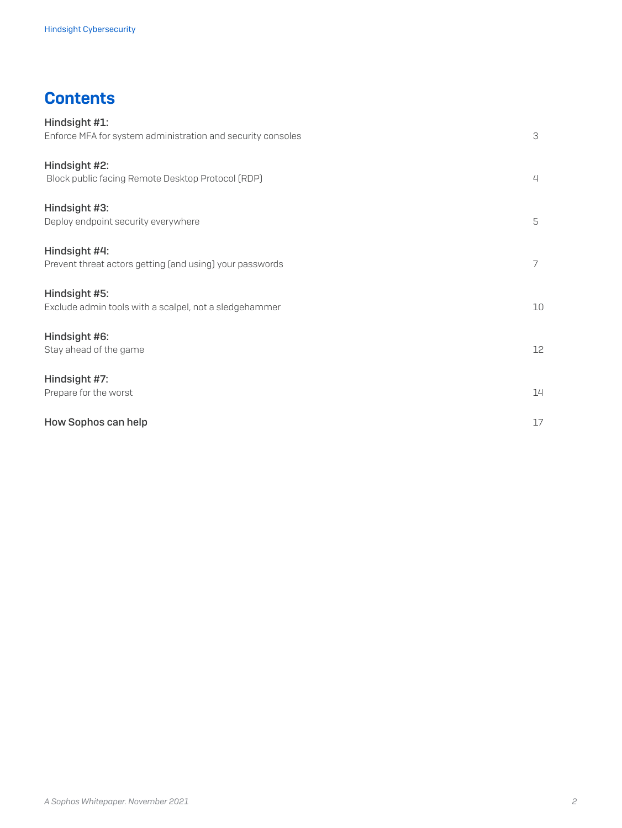# **Contents**

| Hindsight #1:<br>Enforce MFA for system administration and security consoles | 3              |
|------------------------------------------------------------------------------|----------------|
| Hindsight #2:<br>Block public facing Remote Desktop Protocol (RDP)           | $\overline{4}$ |
| Hindsight #3:<br>Deploy endpoint security everywhere                         | 5              |
| Hindsight #4:<br>Prevent threat actors getting (and using) your passwords    | 7              |
| Hindsight #5:<br>Exclude admin tools with a scalpel, not a sledgehammer      | 10             |
| Hindsight #6:<br>Stay ahead of the game                                      | 12             |
| Hindsight #7:<br>Prepare for the worst                                       | 14             |
| How Sophos can help                                                          | 17             |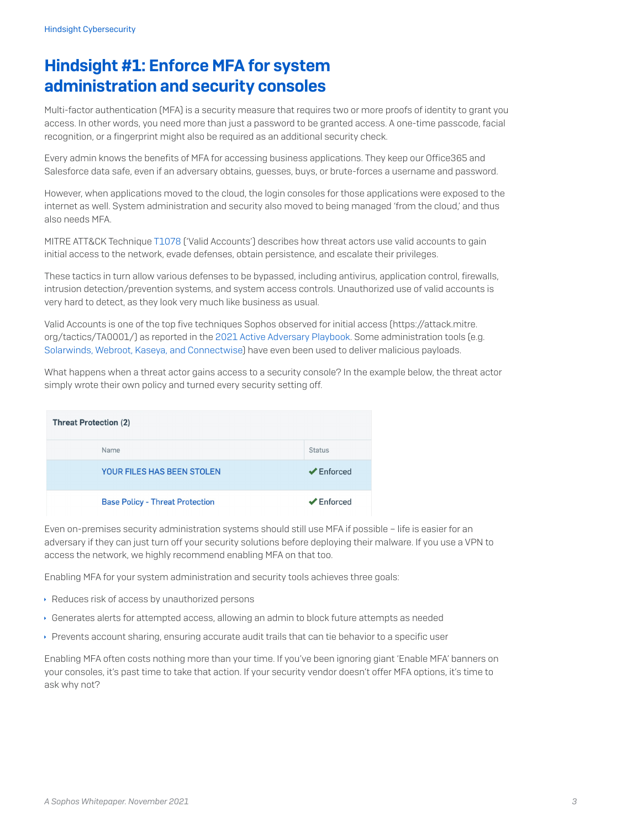# <span id="page-2-0"></span>Hindsight #1: Enforce MFA for system administration and security consoles

Multi-factor authentication (MFA) is a security measure that requires two or more proofs of identity to grant you access. In other words, you need more than just a password to be granted access. A one-time passcode, facial recognition, or a fingerprint might also be required as an additional security check.

Every admin knows the benefits of MFA for accessing business applications. They keep our Office365 and Salesforce data safe, even if an adversary obtains, guesses, buys, or brute-forces a username and password.

However, when applications moved to the cloud, the login consoles for those applications were exposed to the internet as well. System administration and security also moved to being managed 'from the cloud,' and thus also needs MFA.

MITRE ATT&CK Technique [T1078](https://attack.mitre.org/techniques/T1078/) ('Valid Accounts') describes how threat actors use valid accounts to gain initial access to the network, evade defenses, obtain persistence, and escalate their privileges.

These tactics in turn allow various defenses to be bypassed, including antivirus, application control, firewalls, intrusion detection/prevention systems, and system access controls. Unauthorized use of valid accounts is very hard to detect, as they look very much like business as usual.

Valid Accounts is one of the top five techniques Sophos observed for initial access (https://attack.mitre. org/tactics/TA0001/) as reported in the [2021 Active Adversary Playbook](http://2021 Active Adversary Playbook). Some administration tools (e.g. [Solarwinds, Webroot, Kaseya, and Connectwise](https://www.bleepingcomputer.com/news/security/sodinokibi-ransomware-spreads-wide-via-hacked-msps-sites-and-spam/)) have even been used to deliver malicious payloads.

What happens when a threat actor gains access to a security console? In the example below, the threat actor simply wrote their own policy and turned every security setting off.

| <b>Threat Protection (2)</b>           |                                |  |
|----------------------------------------|--------------------------------|--|
| Name                                   | <b>Status</b>                  |  |
| <b>YOUR FILES HAS BEEN STOLEN</b>      | $\blacktriangleright$ Enforced |  |
| <b>Base Policy - Threat Protection</b> | $\blacktriangleright$ Enforced |  |

Even on-premises security administration systems should still use MFA if possible – life is easier for an adversary if they can just turn off your security solutions before deploying their malware. If you use a VPN to access the network, we highly recommend enabling MFA on that too.

Enabling MFA for your system administration and security tools achieves three goals:

- Reduces risk of access by unauthorized persons
- Ì Generates alerts for attempted access, allowing an admin to block future attempts as needed
- **Prevents account sharing, ensuring accurate audit trails that can tie behavior to a specific user**

Enabling MFA often costs nothing more than your time. If you've been ignoring giant 'Enable MFA' banners on your consoles, it's past time to take that action. If your security vendor doesn't offer MFA options, it's time to ask why not?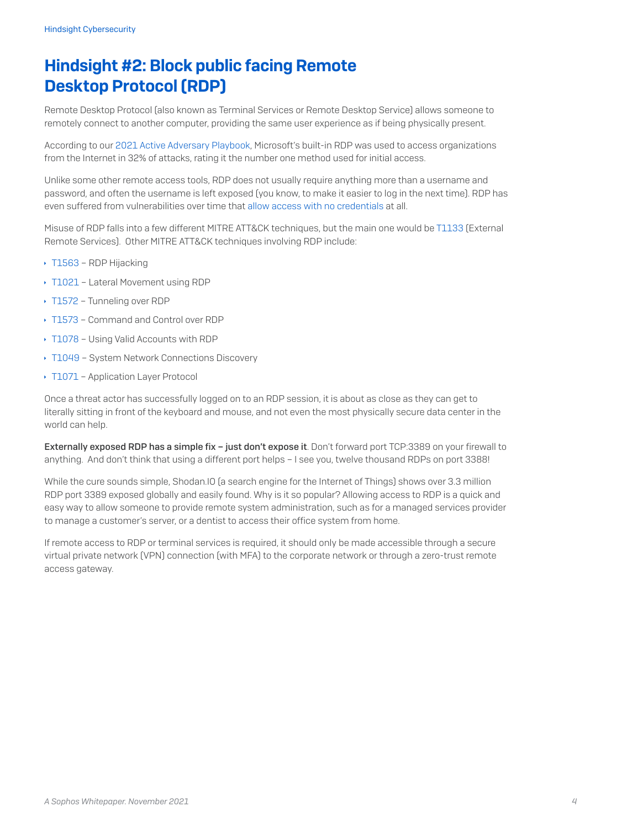# <span id="page-3-0"></span>Hindsight #2: Block public facing Remote Desktop Protocol (RDP)

Remote Desktop Protocol (also known as Terminal Services or Remote Desktop Service) allows someone to remotely connect to another computer, providing the same user experience as if being physically present.

According to our [2021 Active Adversary Playbook,](https://news.sophos.com/en-us/2021/05/18/the-active-adversary-playbook-2021/) Microsoft's built-in RDP was used to access organizations from the Internet in 32% of attacks, rating it the number one method used for initial access.

Unlike some other remote access tools, RDP does not usually require anything more than a username and password, and often the username is left exposed (you know, to make it easier to log in the next time). RDP has even suffered from vulnerabilities over time that [allow access with no credentials](https://nvd.nist.gov/vuln/detail/cve-2019-0708) at all.

Misuse of RDP falls into a few different MITRE ATT&CK techniques, but the main one would be [T1133](https://attack.mitre.org/techniques/T1133/) (External Remote Services). Other MITRE ATT&CK techniques involving RDP include:

- $\cdot$  [T1563](https://attack.mitre.org/techniques/T1563/002/)  RDP Hijacking
- ▸ [T1021](https://attack.mitre.org/techniques/T1021/001/)  Lateral Movement using RDP
- $\cdot$  [T1572](https://attack.mitre.org/techniques/T1572/) Tunneling over RDP
- ▸ [T1573](https://attack.mitre.org/techniques/T1573/002/) Command and Control over RDP
- ▸ [T1078](https://attack.mitre.org/techniques/T1078/)  Using Valid Accounts with RDP
- ▶ [T1049](https://attack.mitre.org/techniques/T1049/) System Network Connections Discovery
- ▸ [T1071](https://attack.mitre.org/techniques/T1071/) Application Layer Protocol

Once a threat actor has successfully logged on to an RDP session, it is about as close as they can get to literally sitting in front of the keyboard and mouse, and not even the most physically secure data center in the world can help.

Externally exposed RDP has a simple fix – just don't expose it. Don't forward port TCP:3389 on your firewall to anything. And don't think that using a different port helps – I see you, twelve thousand RDPs on port 3388!

While the cure sounds simple, Shodan.IO (a search engine for the Internet of Things) shows over 3.3 million RDP port 3389 exposed globally and easily found. Why is it so popular? Allowing access to RDP is a quick and easy way to allow someone to provide remote system administration, such as for a managed services provider to manage a customer's server, or a dentist to access their office system from home.

If remote access to RDP or terminal services is required, it should only be made accessible through a secure virtual private network (VPN) connection (with MFA) to the corporate network or through a zero-trust remote access gateway.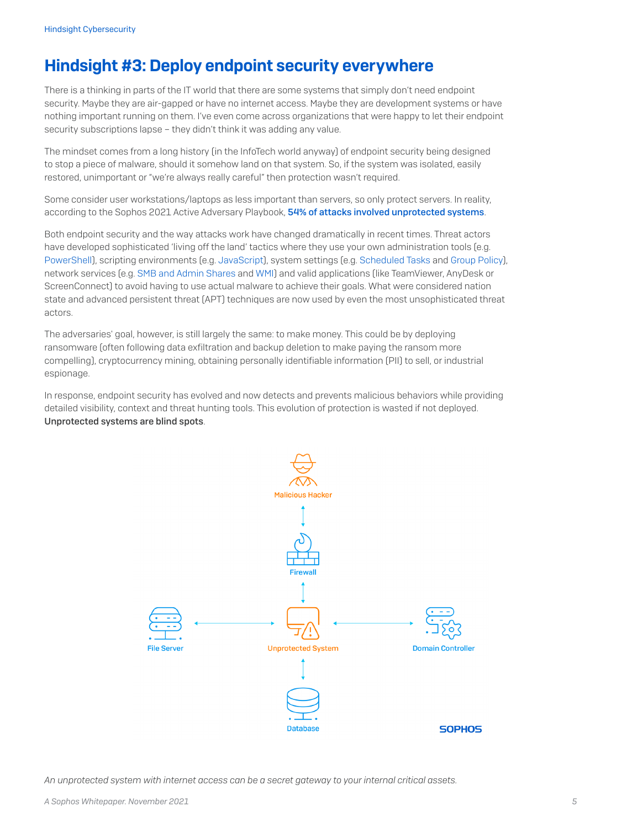## <span id="page-4-0"></span>Hindsight #3: Deploy endpoint security everywhere

There is a thinking in parts of the IT world that there are some systems that simply don't need endpoint security. Maybe they are air-gapped or have no internet access. Maybe they are development systems or have nothing important running on them. I've even come across organizations that were happy to let their endpoint security subscriptions lapse – they didn't think it was adding any value.

The mindset comes from a long history (in the InfoTech world anyway) of endpoint security being designed to stop a piece of malware, should it somehow land on that system. So, if the system was isolated, easily restored, unimportant or "we're always really careful" then protection wasn't required.

Some consider user workstations/laptops as less important than servers, so only protect servers. In reality, according to the Sophos 2021 Active Adversary Playbook, [54% of attacks involved unprotected systems](https://news.sophos.com/en-us/2021/05/18/the-active-adversary-playbook-2021/).

Both endpoint security and the way attacks work have changed dramatically in recent times. Threat actors have developed sophisticated 'living off the land' tactics where they use your own administration tools (e.g. [PowerShell](https://attack.mitre.org/techniques/T1059/001/)), scripting environments (e.g. [JavaScript](https://attack.mitre.org/techniques/T1059/007/)), system settings (e.g. [Scheduled Tasks](https://attack.mitre.org/techniques/T1053/005/) and [Group Policy\)](https://attack.mitre.org/techniques/T1484/001/), network services (e.g. [SMB and Admin Shares](https://attack.mitre.org/techniques/T1021/002/) and [WMI](https://attack.mitre.org/techniques/T1047/)) and valid applications (like TeamViewer, AnyDesk or ScreenConnect) to avoid having to use actual malware to achieve their goals. What were considered nation state and advanced persistent threat (APT) techniques are now used by even the most unsophisticated threat actors.

The adversaries' goal, however, is still largely the same: to make money. This could be by deploying ransomware (often following data exfiltration and backup deletion to make paying the ransom more compelling), cryptocurrency mining, obtaining personally identifiable information (PII) to sell, or industrial espionage.

In response, endpoint security has evolved and now detects and prevents malicious behaviors while providing detailed visibility, context and threat hunting tools. This evolution of protection is wasted if not deployed. Unprotected systems are blind spots.



*An unprotected system with internet access can be a secret gateway to your internal critical assets.*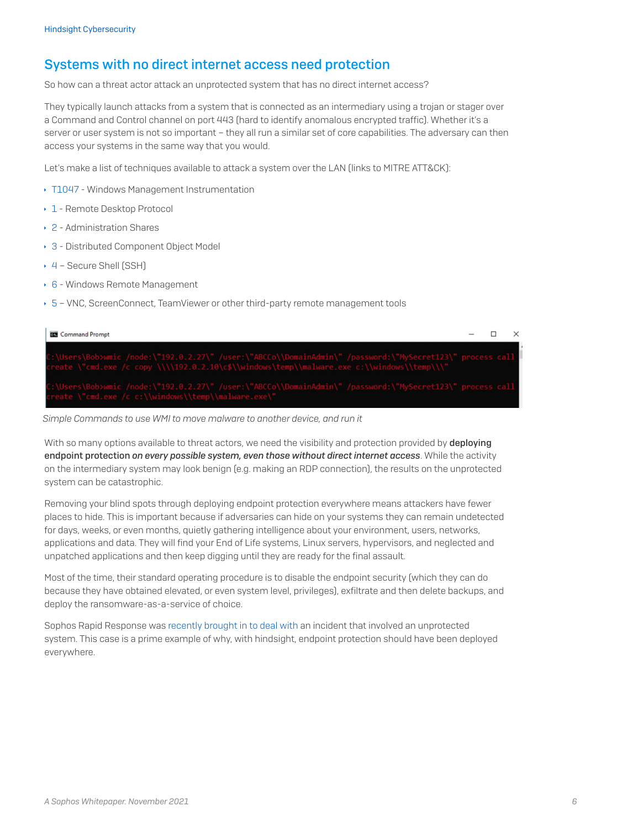## Systems with no direct internet access need protection

So how can a threat actor attack an unprotected system that has no direct internet access?

They typically launch attacks from a system that is connected as an intermediary using a trojan or stager over a Command and Control channel on port 443 (hard to identify anomalous encrypted traffic). Whether it's a server or user system is not so important – they all run a similar set of core capabilities. The adversary can then access your systems in the same way that you would.

Let's make a list of techniques available to attack a system over the LAN (links to MITRE ATT&CK):

- ▸ [T1047](https://attack.mitre.org/techniques/T1047/)  Windows Management Instrumentation
- **[1](https://attack.mitre.org/techniques/T1021/001/)  Remote Desktop Protocol**
- **i** [2](https://attack.mitre.org/techniques/T1021/002/)  Administration Shares
- **[3](https://attack.mitre.org/techniques/T1021/003/)  Distributed Component Object Model**
- **+ [4](https://attack.mitre.org/techniques/T1021/004/) Secure Shell (SSH)**
- **E.** [6](https://attack.mitre.org/techniques/T1021/006/) Windows Remote Management
- ▸ [5](https://attack.mitre.org/techniques/T1021/005/)  VNC, ScreenConnect, TeamViewer or other third-party remote management tools



#### *Simple Commands to use WMI to move malware to another device, and run it*

With so many options available to threat actors, we need the visibility and protection provided by **deploying** endpoint protection *on every possible system, even those without direct internet access*. While the activity on the intermediary system may look benign (e.g. making an RDP connection), the results on the unprotected system can be catastrophic.

Removing your blind spots through deploying endpoint protection everywhere means attackers have fewer places to hide. This is important because if adversaries can hide on your systems they can remain undetected for days, weeks, or even months, quietly gathering intelligence about your environment, users, networks, applications and data. They will find your End of Life systems, Linux servers, hypervisors, and neglected and unpatched applications and then keep digging until they are ready for the final assault.

Most of the time, their standard operating procedure is to disable the endpoint security (which they can do because they have obtained elevated, or even system level, privileges), exfiltrate and then delete backups, and deploy the ransomware-as-a-service of choice.

Sophos Rapid Response wa[s recently brought in to deal with](https://news.sophos.com/en-us/2021/06/30/mtr-in-real-time-hand-to-hand-combat-with-revil-ransomware-chasing-a-2-5-million-pay-day/) an incident that involved an unprotected system. This case is a prime example of why, with hindsight, endpoint protection should have been deployed everywhere.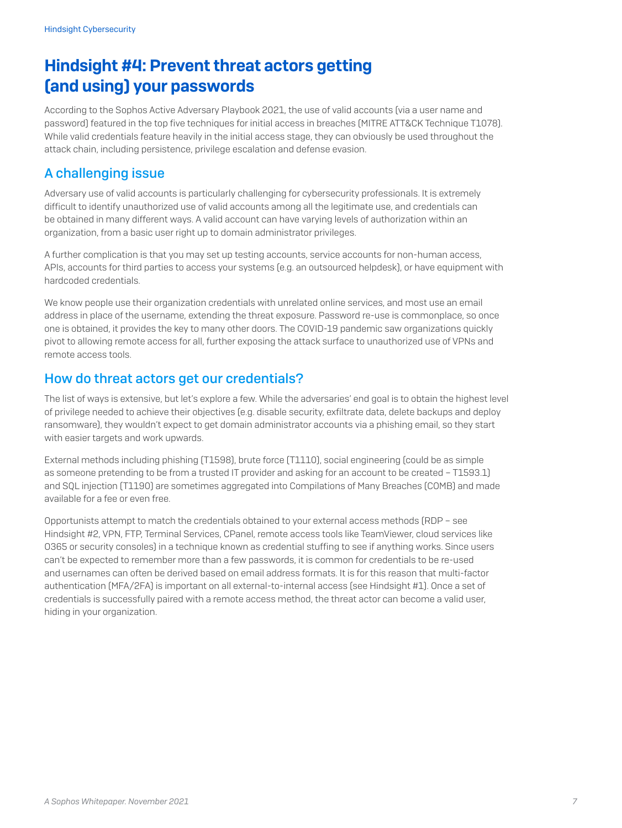# <span id="page-6-0"></span>Hindsight #4: Prevent threat actors getting (and using) your passwords

According to the Sophos Active Adversary Playbook 2021, the use of valid accounts (via a user name and password) featured in the top five techniques for initial access in breaches (MITRE ATT&CK Technique T1078). While valid credentials feature heavily in the initial access stage, they can obviously be used throughout the attack chain, including persistence, privilege escalation and defense evasion.

## A challenging issue

Adversary use of valid accounts is particularly challenging for cybersecurity professionals. It is extremely difficult to identify unauthorized use of valid accounts among all the legitimate use, and credentials can be obtained in many different ways. A valid account can have varying levels of authorization within an organization, from a basic user right up to domain administrator privileges.

A further complication is that you may set up testing accounts, service accounts for non-human access, APIs, accounts for third parties to access your systems (e.g. an outsourced helpdesk), or have equipment with hardcoded credentials.

We know people use their organization credentials with unrelated online services, and most use an email address in place of the username, extending the threat exposure. Password re-use is commonplace, so once one is obtained, it provides the key to many other doors. The COVID-19 pandemic saw organizations quickly pivot to allowing remote access for all, further exposing the attack surface to unauthorized use of VPNs and remote access tools.

## How do threat actors get our credentials?

The list of ways is extensive, but let's explore a few. While the adversaries' end goal is to obtain the highest level of privilege needed to achieve their objectives (e.g. disable security, exfiltrate data, delete backups and deploy ransomware), they wouldn't expect to get domain administrator accounts via a phishing email, so they start with easier targets and work upwards.

External methods including phishing (T1598), brute force (T1110), social engineering (could be as simple as someone pretending to be from a trusted IT provider and asking for an account to be created – T1593.1) and SQL injection (T1190) are sometimes aggregated into Compilations of Many Breaches (COMB) and made available for a fee or even free.

Opportunists attempt to match the credentials obtained to your external access methods (RDP – see Hindsight #2, VPN, FTP, Terminal Services, CPanel, remote access tools like TeamViewer, cloud services like O365 or security consoles) in a technique known as credential stuffing to see if anything works. Since users can't be expected to remember more than a few passwords, it is common for credentials to be re-used and usernames can often be derived based on email address formats. It is for this reason that multi-factor authentication (MFA/2FA) is important on all external-to-internal access (see Hindsight #1). Once a set of credentials is successfully paired with a remote access method, the threat actor can become a valid user, hiding in your organization.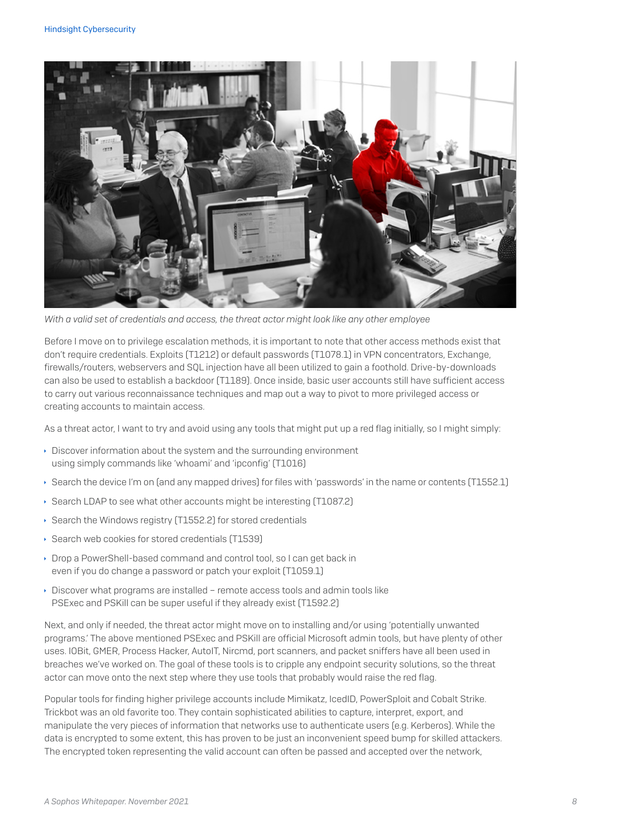

*With a valid set of credentials and access, the threat actor might look like any other employee*

Before I move on to privilege escalation methods, it is important to note that other access methods exist that don't require credentials. Exploits (T1212) or default passwords (T1078.1) in VPN concentrators, Exchange, firewalls/routers, webservers and SQL injection have all been utilized to gain a foothold. Drive-by-downloads can also be used to establish a backdoor (T1189). Once inside, basic user accounts still have sufficient access to carry out various reconnaissance techniques and map out a way to pivot to more privileged access or creating accounts to maintain access.

As a threat actor, I want to try and avoid using any tools that might put up a red flag initially, so I might simply:

- $\rightarrow$  Discover information about the system and the surrounding environment using simply commands like 'whoami' and 'ipconfig' (T1016)
- **Search the device I'm on (and any mapped drives) for files with 'passwords' in the name or contents (T1552.1)**
- ▶ Search LDAP to see what other accounts might be interesting (T1087.2)
- ▶ Search the Windows registry (T1552.2) for stored credentials
- Search web cookies for stored credentials (T1539)
- **Drop a PowerShell-based command and control tool, so I can get back in** even if you do change a password or patch your exploit (T1059.1)
- Ì Discover what programs are installed remote access tools and admin tools like PSExec and PSKill can be super useful if they already exist (T1592.2)

Next, and only if needed, the threat actor might move on to installing and/or using 'potentially unwanted programs.' The above mentioned PSExec and PSKill are official Microsoft admin tools, but have plenty of other uses. IOBit, GMER, Process Hacker, AutoIT, Nircmd, port scanners, and packet sniffers have all been used in breaches we've worked on. The goal of these tools is to cripple any endpoint security solutions, so the threat actor can move onto the next step where they use tools that probably would raise the red flag.

Popular tools for finding higher privilege accounts include Mimikatz, IcedID, PowerSploit and Cobalt Strike. Trickbot was an old favorite too. They contain sophisticated abilities to capture, interpret, export, and manipulate the very pieces of information that networks use to authenticate users (e.g. Kerberos). While the data is encrypted to some extent, this has proven to be just an inconvenient speed bump for skilled attackers. The encrypted token representing the valid account can often be passed and accepted over the network,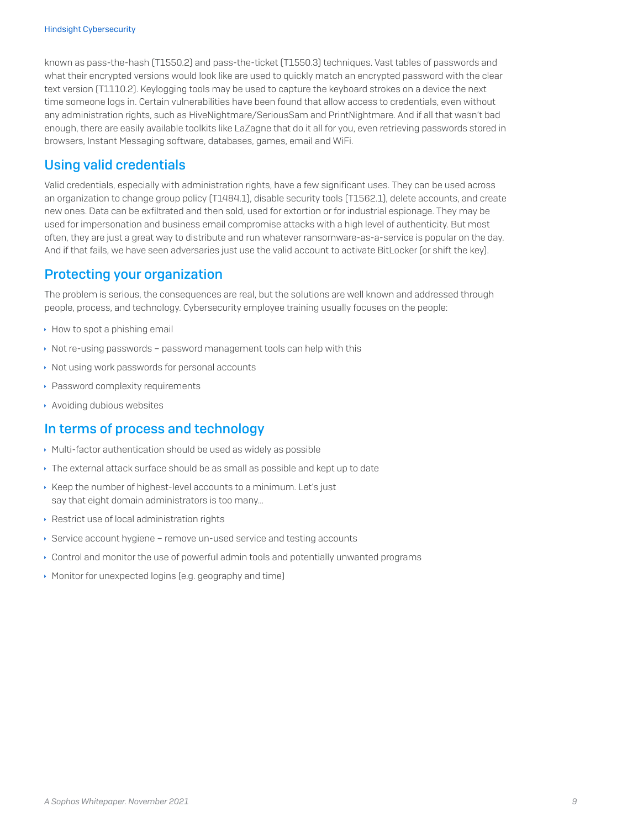known as pass-the-hash (T1550.2) and pass-the-ticket (T1550.3) techniques. Vast tables of passwords and what their encrypted versions would look like are used to quickly match an encrypted password with the clear text version (T1110.2). Keylogging tools may be used to capture the keyboard strokes on a device the next time someone logs in. Certain vulnerabilities have been found that allow access to credentials, even without any administration rights, such as HiveNightmare/SeriousSam and PrintNightmare. And if all that wasn't bad enough, there are easily available toolkits like LaZagne that do it all for you, even retrieving passwords stored in browsers, Instant Messaging software, databases, games, email and WiFi.

## Using valid credentials

Valid credentials, especially with administration rights, have a few significant uses. They can be used across an organization to change group policy (T1484.1), disable security tools (T1562.1), delete accounts, and create new ones. Data can be exfiltrated and then sold, used for extortion or for industrial espionage. They may be used for impersonation and business email compromise attacks with a high level of authenticity. But most often, they are just a great way to distribute and run whatever ransomware-as-a-service is popular on the day. And if that fails, we have seen adversaries just use the valid account to activate BitLocker (or shift the key).

## Protecting your organization

The problem is serious, the consequences are real, but the solutions are well known and addressed through people, process, and technology. Cybersecurity employee training usually focuses on the people:

- $\cdot$  How to spot a phishing email
- $\rightarrow$  Not re-using passwords password management tools can help with this
- $\rightarrow$  Not using work passwords for personal accounts
- **Password complexity requirements**
- $\rightarrow$  Avoiding dubious websites

## In terms of process and technology

- ▶ Multi-factor authentication should be used as widely as possible
- $\rightarrow$  The external attack surface should be as small as possible and kept up to date
- Keep the number of highest-level accounts to a minimum. Let's just say that eight domain administrators is too many…
- $\cdot$  Restrict use of local administration rights
- $\rightarrow$  Service account hygiene remove un-used service and testing accounts
- Ì Control and monitor the use of powerful admin tools and potentially unwanted programs
- **Monitor for unexpected logins (e.g. geography and time)**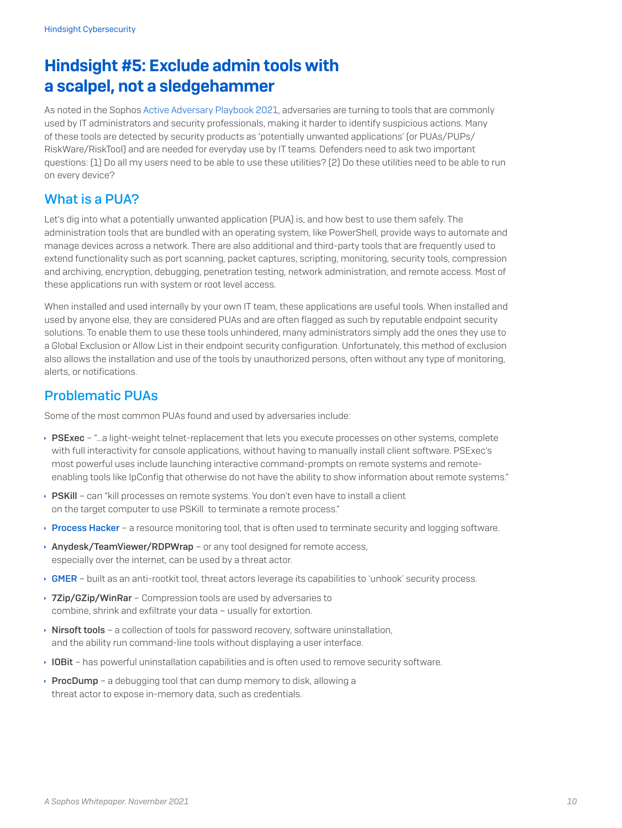# <span id="page-9-0"></span>Hindsight #5: Exclude admin tools with a scalpel, not a sledgehammer

As noted in the Sophos [Active Adversary Playbook 2021](https://news.sophos.com/en-us/2021/05/18/the-active-adversary-playbook-2021/), adversaries are turning to tools that are commonly used by IT administrators and security professionals, making it harder to identify suspicious actions. Many of these tools are detected by security products as 'potentially unwanted applications' (or PUAs/PUPs/ RiskWare/RiskTool) and are needed for everyday use by IT teams. Defenders need to ask two important questions: (1) Do all my users need to be able to use these utilities? (2) Do these utilities need to be able to run on every device?

### What is a PUA?

Let's dig into what a potentially unwanted application (PUA) is, and how best to use them safely. The administration tools that are bundled with an operating system, like PowerShell, provide ways to automate and manage devices across a network. There are also additional and third-party tools that are frequently used to extend functionality such as port scanning, packet captures, scripting, monitoring, security tools, compression and archiving, encryption, debugging, penetration testing, network administration, and remote access. Most of these applications run with system or root level access.

When installed and used internally by your own IT team, these applications are useful tools. When installed and used by anyone else, they are considered PUAs and are often flagged as such by reputable endpoint security solutions. To enable them to use these tools unhindered, many administrators simply add the ones they use to a Global Exclusion or Allow List in their endpoint security configuration. Unfortunately, this method of exclusion also allows the installation and use of the tools by unauthorized persons, often without any type of monitoring, alerts, or notifications.

## Problematic PUAs

Some of the most common PUAs found and used by adversaries include:

- $\rightarrow$  PSExec "...a light-weight telnet-replacement that lets you execute processes on other systems, complete with full interactivity for console applications, without having to manually install client software. PSExec's most powerful uses include launching interactive command-prompts on remote systems and remoteenabling tools like IpConfig that otherwise do not have the ability to show information about remote systems."
- ▶ PSKill can "kill processes on remote systems. You don't even have to install a client on the target computer to use PSKill to terminate a remote process."
- ▶ [Process Hacker](https://www.sophos.com/en-us/threat-center/threat-analyses/controlled-applications/Process Hacker/detailed-analysis.aspx) a resource monitoring tool, that is often used to terminate security and logging software.
- **Anydesk/TeamViewer/RDPWrap** or any tool designed for remote access, especially over the internet, can be used by a threat actor.
- $\rightarrow$  [GMER](https://support.sophos.com/support/s/article/KB-000040563?language=en_US) built as an anti-rootkit tool, threat actors leverage its capabilities to 'unhook' security process.
- ▸ 7Zip/GZip/WinRar Compression tools are used by adversaries to combine, shrink and exfiltrate your data – usually for extortion.
- $\rightarrow$  Nirsoft tools a collection of tools for password recovery, software uninstallation, and the ability run command-line tools without displaying a user interface.
- ▶ IOBit has powerful uninstallation capabilities and is often used to remove security software.
- $\rightarrow$  ProcDump a debugging tool that can dump memory to disk, allowing a threat actor to expose in-memory data, such as credentials.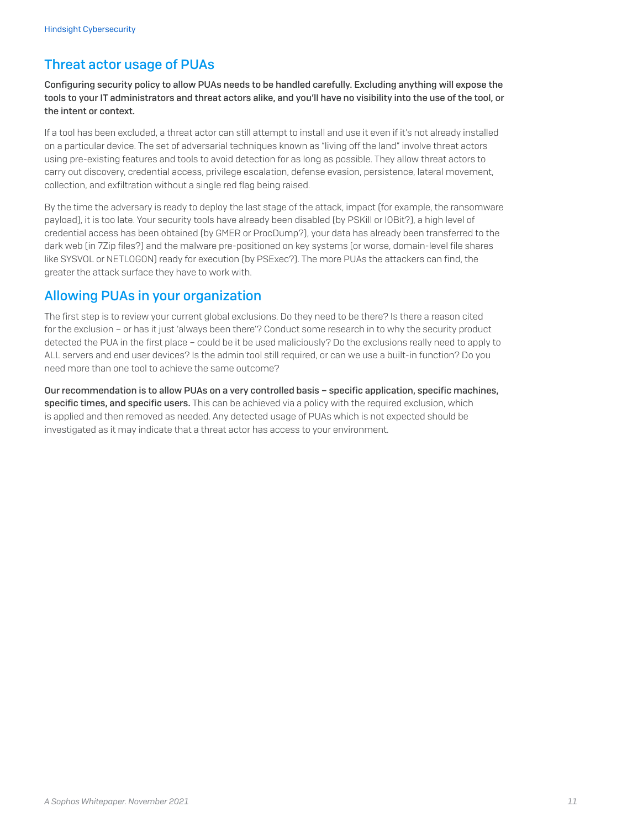## Threat actor usage of PUAs

Configuring security policy to allow PUAs needs to be handled carefully. Excluding anything will expose the tools to your IT administrators and threat actors alike, and you'll have no visibility into the use of the tool, or the intent or context.

If a tool has been excluded, a threat actor can still attempt to install and use it even if it's not already installed on a particular device. The set of adversarial techniques known as "living off the land" involve threat actors using pre-existing features and tools to avoid detection for as long as possible. They allow threat actors to carry out discovery, credential access, privilege escalation, defense evasion, persistence, lateral movement, collection, and exfiltration without a single red flag being raised.

By the time the adversary is ready to deploy the last stage of the attack, impact (for example, the ransomware payload), it is too late. Your security tools have already been disabled (by PSKill or IOBit?), a high level of credential access has been obtained (by GMER or ProcDump?), your data has already been transferred to the dark web (in 7Zip files?) and the malware pre-positioned on key systems (or worse, domain-level file shares like SYSVOL or NETLOGON) ready for execution (by PSExec?). The more PUAs the attackers can find, the greater the attack surface they have to work with.

## Allowing PUAs in your organization

The first step is to review your current global exclusions. Do they need to be there? Is there a reason cited for the exclusion – or has it just 'always been there'? Conduct some research in to why the security product detected the PUA in the first place – could be it be used maliciously? Do the exclusions really need to apply to ALL servers and end user devices? Is the admin tool still required, or can we use a built-in function? Do you need more than one tool to achieve the same outcome?

Our recommendation is to allow PUAs on a very controlled basis – specific application, specific machines, specific times, and specific users. This can be achieved via a policy with the required exclusion, which is applied and then removed as needed. Any detected usage of PUAs which is not expected should be investigated as it may indicate that a threat actor has access to your environment.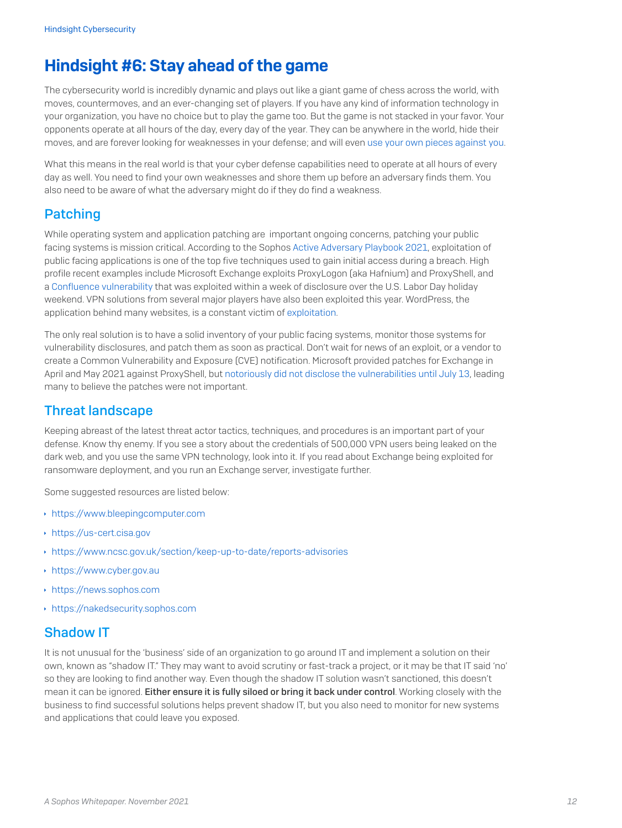# <span id="page-11-0"></span>Hindsight #6: Stay ahead of the game

The cybersecurity world is incredibly dynamic and plays out like a giant game of chess across the world, with moves, countermoves, and an ever-changing set of players. If you have any kind of information technology in your organization, you have no choice but to play the game too. But the game is not stacked in your favor. Your opponents operate at all hours of the day, every day of the year. They can be anywhere in the world, hide their moves, and are forever looking for weaknesses in your defense; and will even [use your own pieces against you.](https://news.sophos.com/en-us/2021/09/02/hindsight-5-exclude-admin-tools-with-a-scalpel-not-a-sledgehammer/)

What this means in the real world is that your cyber defense capabilities need to operate at all hours of every day as well. You need to find your own weaknesses and shore them up before an adversary finds them. You also need to be aware of what the adversary might do if they do find a weakness.

#### **Patching**

While operating system and application patching are important ongoing concerns, patching your public facing systems is mission critical. According to the Sophos [Active Adversary Playbook 2021,](https://news.sophos.com/en-us/2021/05/18/the-active-adversary-playbook-2021/) exploitation of public facing applications is one of the top five techniques used to gain initial access during a breach. High profile recent examples include Microsoft Exchange exploits ProxyLogon (aka Hafnium) and ProxyShell, and a [Confluence vulnerability](https://us-cert.cisa.gov/ncas/current-activity/2021/09/03/atlassian-releases-security-updates-confluence-server-and-data) that was exploited within a week of disclosure over the U.S. Labor Day holiday weekend. VPN solutions from several major players have also been exploited this year. WordPress, the application behind many websites, is a constant victim of [exploitation.](https://www.bleepingcomputer.com/news/security/critical-wordpress-plugin-zero-day-under-active-exploitation/)

The only real solution is to have a solid inventory of your public facing systems, monitor those systems for vulnerability disclosures, and patch them as soon as practical. Don't wait for news of an exploit, or a vendor to create a Common Vulnerability and Exposure (CVE) notification. Microsoft provided patches for Exchange in April and May 2021 against ProxyShell, but [notoriously did not disclose the vulnerabilities until July 13,](https://doublepulsar.com/multiple-threat-actors-including-a-ransomware-gang-exploiting-exchange-proxyshell-vulnerabilities-c457b1655e9c) leading many to believe the patches were not important.

#### Threat landscape

Keeping abreast of the latest threat actor tactics, techniques, and procedures is an important part of your defense. Know thy enemy. If you see a story about the credentials of 500,000 VPN users being leaked on the dark web, and you use the same VPN technology, look into it. If you read about Exchange being exploited for ransomware deployment, and you run an Exchange server, investigate further.

Some suggested resources are listed below:

- **<https://www.bleepingcomputer.com>**
- **<https://us-cert.cisa.gov>**
- $\rightarrow$  <https://www.ncsc.gov.uk/section/keep-up-to-date/reports-advisories>
- **<https://www.cyber.gov.au>**
- **<https://news.sophos.com>**
- **<https://nakedsecurity.sophos.com>**

#### Shadow IT

It is not unusual for the 'business' side of an organization to go around IT and implement a solution on their own, known as "shadow IT." They may want to avoid scrutiny or fast-track a project, or it may be that IT said 'no' so they are looking to find another way. Even though the shadow IT solution wasn't sanctioned, this doesn't mean it can be ignored. Either ensure it is fully siloed or bring it back under control. Working closely with the business to find successful solutions helps prevent shadow IT, but you also need to monitor for new systems and applications that could leave you exposed.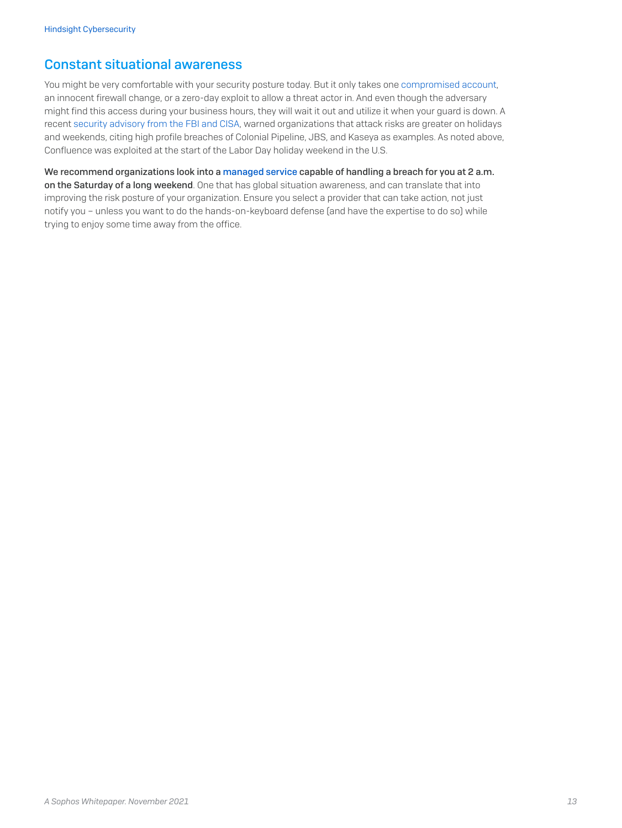## Constant situational awareness

You might be very comfortable with your security posture today. But it only takes one [compromised account,](https://news.sophos.com/en-us/2021/08/24/hindsight-4-prevent-threat-actors-getting-and-using-your-passwords/) an innocent firewall change, or a zero-day exploit to allow a threat actor in. And even though the adversary might find this access during your business hours, they will wait it out and utilize it when your guard is down. A recent [security advisory from the FBI and CISA](https://www.bleepingcomputer.com/news/security/fbi-cisa-ransomware-attack-risk-increases-on-holidays-weekends/), warned organizations that attack risks are greater on holidays and weekends, citing high profile breaches of Colonial Pipeline, JBS, and Kaseya as examples. As noted above, Confluence was exploited at the start of the Labor Day holiday weekend in the U.S.

We recommend organizations look into a [managed service](https://www.sophos.com/en-us/products/managed-threat-response.aspx) capable of handling a breach for you at 2 a.m. on the Saturday of a long weekend. One that has global situation awareness, and can translate that into improving the risk posture of your organization. Ensure you select a provider that can take action, not just notify you – unless you want to do the hands-on-keyboard defense (and have the expertise to do so) while trying to enjoy some time away from the office.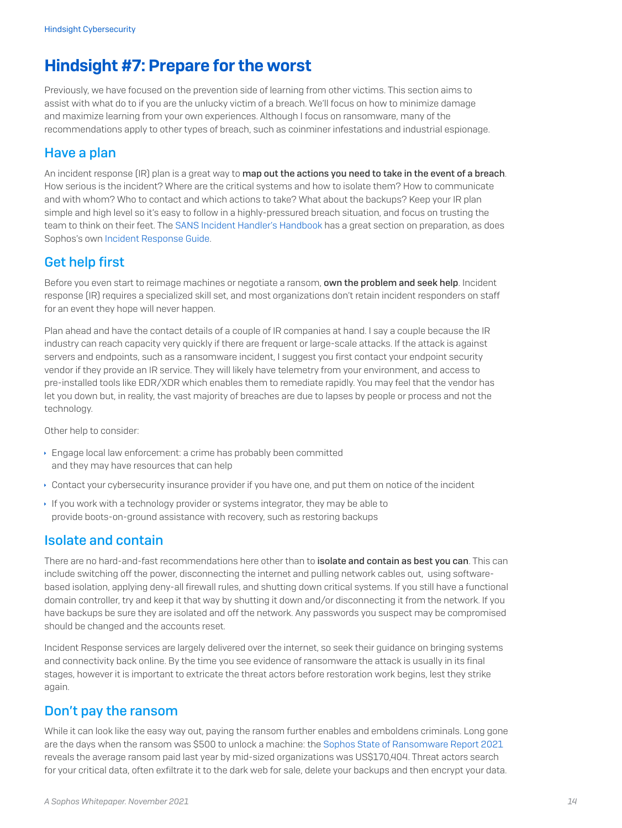# <span id="page-13-0"></span>Hindsight #7: Prepare for the worst

Previously, we have focused on the prevention side of learning from other victims. This section aims to assist with what do to if you are the unlucky victim of a breach. We'll focus on how to minimize damage and maximize learning from your own experiences. Although I focus on ransomware, many of the recommendations apply to other types of breach, such as coinminer infestations and industrial espionage.

## Have a plan

An incident response (IR) plan is a great way to **map out the actions you need to take in the event of a breach**. How serious is the incident? Where are the critical systems and how to isolate them? How to communicate and with whom? Who to contact and which actions to take? What about the backups? Keep your IR plan simple and high level so it's easy to follow in a highly-pressured breach situation, and focus on trusting the team to think on their feet. The [SANS Incident Handler's Handbook](https://www.sans.org/white-papers/33901/) has a great section on preparation, as does Sophos's own [Incident Response Guide.](https://secure2.sophos.com/en-us/security-news-trends/whitepapers/gated-wp/incident-response-guide.aspx)

## Get help first

Before you even start to reimage machines or negotiate a ransom, own the problem and seek help. Incident response (IR) requires a specialized skill set, and most organizations don't retain incident responders on staff for an event they hope will never happen.

Plan ahead and have the contact details of a couple of IR companies at hand. I say a couple because the IR industry can reach capacity very quickly if there are frequent or large-scale attacks. If the attack is against servers and endpoints, such as a ransomware incident, I suggest you first contact your endpoint security vendor if they provide an IR service. They will likely have telemetry from your environment, and access to pre-installed tools like EDR/XDR which enables them to remediate rapidly. You may feel that the vendor has let you down but, in reality, the vast majority of breaches are due to lapses by people or process and not the technology.

Other help to consider:

- **Engage local law enforcement: a crime has probably been committed** and they may have resources that can help
- **Contact your cybersecurity insurance provider if you have one, and put them on notice of the incident**
- If you work with a technology provider or systems integrator, they may be able to provide boots-on-ground assistance with recovery, such as restoring backups

## Isolate and contain

There are no hard-and-fast recommendations here other than to **isolate and contain as best you can**. This can include switching off the power, disconnecting the internet and pulling network cables out, using softwarebased isolation, applying deny-all firewall rules, and shutting down critical systems. If you still have a functional domain controller, try and keep it that way by shutting it down and/or disconnecting it from the network. If you have backups be sure they are isolated and off the network. Any passwords you suspect may be compromised should be changed and the accounts reset.

Incident Response services are largely delivered over the internet, so seek their guidance on bringing systems and connectivity back online. By the time you see evidence of ransomware the attack is usually in its final stages, however it is important to extricate the threat actors before restoration work begins, lest they strike again.

## Don't pay the ransom

While it can look like the easy way out, paying the ransom further enables and emboldens criminals. Long gone are the days when the ransom was \$500 to unlock a machine: the [Sophos State of Ransomware Report 2021](https://secure2.sophos.com/en-us/content/state-of-ransomware.aspx) reveals the average ransom paid last year by mid-sized organizations was US\$170,404. Threat actors search for your critical data, often exfiltrate it to the dark web for sale, delete your backups and then encrypt your data.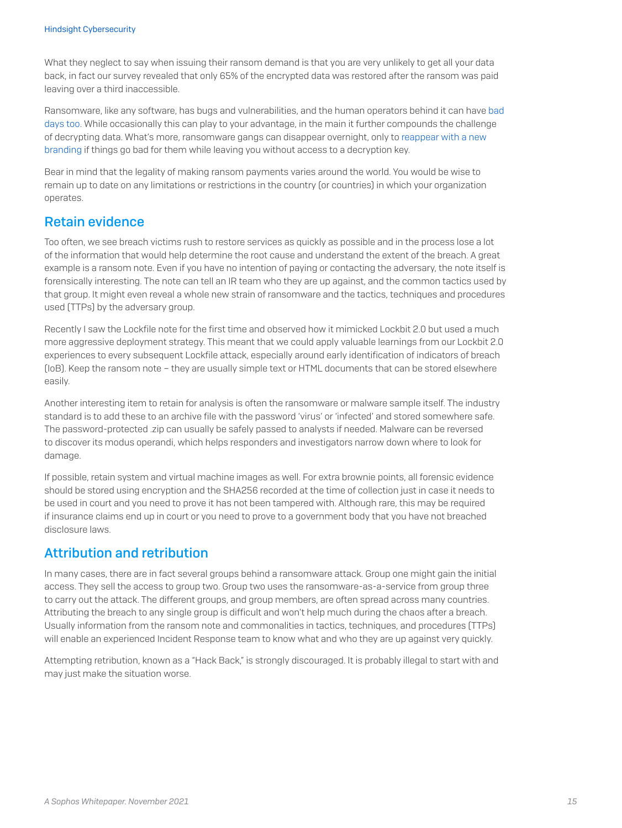What they neglect to say when issuing their ransom demand is that you are very unlikely to get all your data back, in fact our survey revealed that only 65% of the encrypted data was restored after the ransom was paid leaving over a third inaccessible.

Ransomware, like any software, has bugs and vulnerabilities, and the human operators behind it can have [bad](https://news.sophos.com/en-us/2021/08/11/ransomware-mishaps-adversaries-have-their-off-days-too/)  [days too.](https://news.sophos.com/en-us/2021/08/11/ransomware-mishaps-adversaries-have-their-off-days-too/) While occasionally this can play to your advantage, in the main it further compounds the challenge of decrypting data. What's more, ransomware gangs can disappear overnight, only to [reappear with a new](https://news.sophos.com/en-us/2021/08/09/blackmatter-ransomware-emerges-from-the-shadow-of-darkside/)  [branding](https://news.sophos.com/en-us/2021/08/09/blackmatter-ransomware-emerges-from-the-shadow-of-darkside/) if things go bad for them while leaving you without access to a decryption key.

Bear in mind that the legality of making ransom payments varies around the world. You would be wise to remain up to date on any limitations or restrictions in the country (or countries) in which your organization operates.

## Retain evidence

Too often, we see breach victims rush to restore services as quickly as possible and in the process lose a lot of the information that would help determine the root cause and understand the extent of the breach. A great example is a ransom note. Even if you have no intention of paying or contacting the adversary, the note itself is forensically interesting. The note can tell an IR team who they are up against, and the common tactics used by that group. It might even reveal a whole new strain of ransomware and the tactics, techniques and procedures used (TTPs) by the adversary group.

Recently I saw the Lockfile note for the first time and observed how it mimicked Lockbit 2.0 but used a much more aggressive deployment strategy. This meant that we could apply valuable learnings from our Lockbit 2.0 experiences to every subsequent Lockfile attack, especially around early identification of indicators of breach (IoB). Keep the ransom note – they are usually simple text or HTML documents that can be stored elsewhere easily.

Another interesting item to retain for analysis is often the ransomware or malware sample itself. The industry standard is to add these to an archive file with the password 'virus' or 'infected' and stored somewhere safe. The password-protected .zip can usually be safely passed to analysts if needed. Malware can be reversed to discover its modus operandi, which helps responders and investigators narrow down where to look for damage.

If possible, retain system and virtual machine images as well. For extra brownie points, all forensic evidence should be stored using encryption and the SHA256 recorded at the time of collection just in case it needs to be used in court and you need to prove it has not been tampered with. Although rare, this may be required if insurance claims end up in court or you need to prove to a government body that you have not breached disclosure laws.

## Attribution and retribution

In many cases, there are in fact several groups behind a ransomware attack. Group one might gain the initial access. They sell the access to group two. Group two uses the ransomware-as-a-service from group three to carry out the attack. The different groups, and group members, are often spread across many countries. Attributing the breach to any single group is difficult and won't help much during the chaos after a breach. Usually information from the ransom note and commonalities in tactics, techniques, and procedures (TTPs) will enable an experienced Incident Response team to know what and who they are up against very quickly.

Attempting retribution, known as a "Hack Back," is strongly discouraged. It is probably illegal to start with and may just make the situation worse.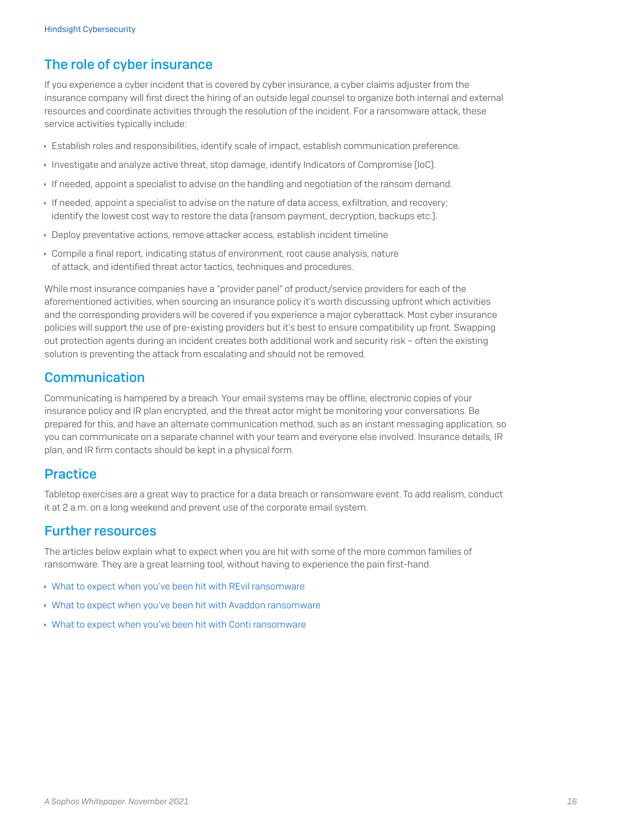## The role of cyber insurance

If you experience a cyber incident that is covered by cyber insurance, a cyber claims adjuster from the insurance company will first direct the hiring of an outside legal counsel to organize both internal and external resources and coordinate activities through the resolution of the incident. For a ransomware attack, these service activities typically include:

- **Establish roles and responsibilities, identify scale of impact, establish communication preference.**
- **Investigate and analyze active threat, stop damage, identify Indicators of Compromise (IoC).**
- If needed, appoint a specialist to advise on the handling and negotiation of the ransom demand.
- Ì If needed, appoint a specialist to advise on the nature of data access, exfiltration, and recovery; identify the lowest cost way to restore the data (ransom payment, decryption, backups etc.).
- **Deploy preventative actions, remove attacker access, establish incident timeline**
- Ì Compile a final report, indicating status of environment, root cause analysis, nature of attack, and identified threat actor tactics, techniques and procedures.

While most insurance companies have a "provider panel" of product/service providers for each of the aforementioned activities, when sourcing an insurance policy it's worth discussing upfront which activities and the corresponding providers will be covered if you experience a major cyberattack. Most cyber insurance policies will support the use of pre-existing providers but it's best to ensure compatibility up front. Swapping out protection agents during an incident creates both additional work and security risk – often the existing solution is preventing the attack from escalating and should not be removed.

## Communication

Communicating is hampered by a breach. Your email systems may be offline, electronic copies of your insurance policy and IR plan encrypted, and the threat actor might be monitoring your conversations. Be prepared for this, and have an alternate communication method, such as an instant messaging application, so you can communicate on a separate channel with your team and everyone else involved. Insurance details, IR plan, and IR firm contacts should be kept in a physical form.

#### **Practice**

Tabletop exercises are a great way to practice for a data breach or ransomware event. To add realism, conduct it at 2 a.m. on a long weekend and prevent use of the corporate email system.

#### Further resources

The articles below explain what to expect when you are hit with some of the more common families of ransomware. They are a great learning tool, without having to experience the pain first-hand.

- **Nota the expect when you've been hit with REvil ransomware**
- **[What to expect when you've been hit with Avaddon ransomware](http://What to expect when you’ve been hit with Avaddon ransomware)**
- **Numer to expect when you've been hit with Conti ransomware**